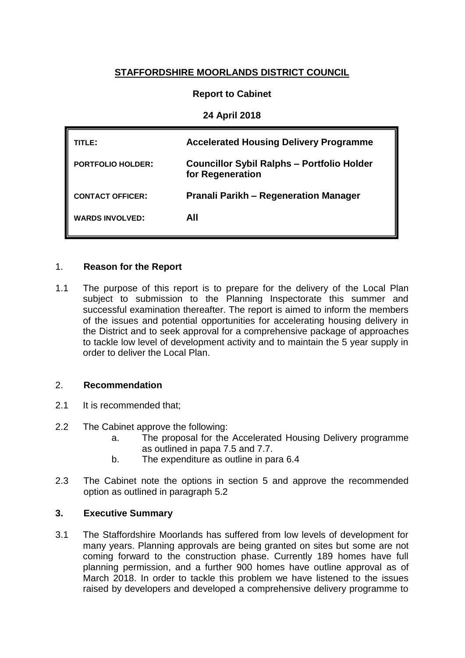# **STAFFORDSHIRE MOORLANDS DISTRICT COUNCIL**

## **Report to Cabinet**

### **24 April 2018**

| TITL F :                 | <b>Accelerated Housing Delivery Programme</b>                         |
|--------------------------|-----------------------------------------------------------------------|
| <b>PORTFOLIO HOLDER:</b> | <b>Councillor Sybil Ralphs - Portfolio Holder</b><br>for Regeneration |
| <b>CONTACT OFFICER:</b>  | <b>Pranali Parikh – Regeneration Manager</b>                          |
| <b>WARDS INVOLVED:</b>   | AII                                                                   |
|                          |                                                                       |

#### 1. **Reason for the Report**

1.1 The purpose of this report is to prepare for the delivery of the Local Plan subject to submission to the Planning Inspectorate this summer and successful examination thereafter. The report is aimed to inform the members of the issues and potential opportunities for accelerating housing delivery in the District and to seek approval for a comprehensive package of approaches to tackle low level of development activity and to maintain the 5 year supply in order to deliver the Local Plan.

### 2. **Recommendation**

- 2.1 It is recommended that:
- 2.2 The Cabinet approve the following:
	- a. The proposal for the Accelerated Housing Delivery programme as outlined in papa 7.5 and 7.7.
	- b. The expenditure as outline in para 6.4
- 2.3 The Cabinet note the options in section 5 and approve the recommended option as outlined in paragraph 5.2

### **3. Executive Summary**

3.1 The Staffordshire Moorlands has suffered from low levels of development for many years. Planning approvals are being granted on sites but some are not coming forward to the construction phase. Currently 189 homes have full planning permission, and a further 900 homes have outline approval as of March 2018. In order to tackle this problem we have listened to the issues raised by developers and developed a comprehensive delivery programme to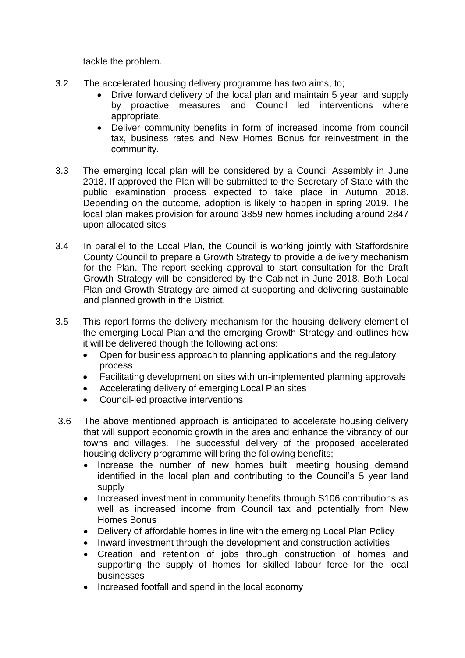tackle the problem.

- 3.2 The accelerated housing delivery programme has two aims, to;
	- Drive forward delivery of the local plan and maintain 5 year land supply by proactive measures and Council led interventions where appropriate.
	- Deliver community benefits in form of increased income from council tax, business rates and New Homes Bonus for reinvestment in the community.
- 3.3 The emerging local plan will be considered by a Council Assembly in June 2018. If approved the Plan will be submitted to the Secretary of State with the public examination process expected to take place in Autumn 2018. Depending on the outcome, adoption is likely to happen in spring 2019. The local plan makes provision for around 3859 new homes including around 2847 upon allocated sites
- 3.4 In parallel to the Local Plan, the Council is working jointly with Staffordshire County Council to prepare a Growth Strategy to provide a delivery mechanism for the Plan. The report seeking approval to start consultation for the Draft Growth Strategy will be considered by the Cabinet in June 2018. Both Local Plan and Growth Strategy are aimed at supporting and delivering sustainable and planned growth in the District.
- 3.5 This report forms the delivery mechanism for the housing delivery element of the emerging Local Plan and the emerging Growth Strategy and outlines how it will be delivered though the following actions:
	- Open for business approach to planning applications and the regulatory process
	- Facilitating development on sites with un-implemented planning approvals
	- Accelerating delivery of emerging Local Plan sites
	- Council-led proactive interventions
- 3.6 The above mentioned approach is anticipated to accelerate housing delivery that will support economic growth in the area and enhance the vibrancy of our towns and villages. The successful delivery of the proposed accelerated housing delivery programme will bring the following benefits;
	- Increase the number of new homes built, meeting housing demand identified in the local plan and contributing to the Council's 5 year land supply
	- Increased investment in community benefits through S106 contributions as well as increased income from Council tax and potentially from New Homes Bonus
	- Delivery of affordable homes in line with the emerging Local Plan Policy
	- Inward investment through the development and construction activities
	- Creation and retention of jobs through construction of homes and supporting the supply of homes for skilled labour force for the local businesses
	- Increased footfall and spend in the local economy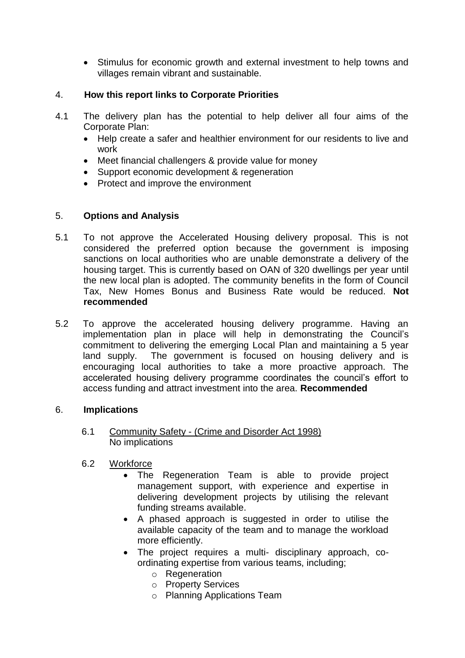• Stimulus for economic growth and external investment to help towns and villages remain vibrant and sustainable.

## 4. **How this report links to Corporate Priorities**

- 4.1 The delivery plan has the potential to help deliver all four aims of the Corporate Plan:
	- Help create a safer and healthier environment for our residents to live and work
	- Meet financial challengers & provide value for money
	- Support economic development & regeneration
	- Protect and improve the environment

## 5. **Options and Analysis**

- 5.1 To not approve the Accelerated Housing delivery proposal. This is not considered the preferred option because the government is imposing sanctions on local authorities who are unable demonstrate a delivery of the housing target. This is currently based on OAN of 320 dwellings per year until the new local plan is adopted. The community benefits in the form of Council Tax, New Homes Bonus and Business Rate would be reduced. **Not recommended**
- 5.2 To approve the accelerated housing delivery programme. Having an implementation plan in place will help in demonstrating the Council's commitment to delivering the emerging Local Plan and maintaining a 5 year land supply. The government is focused on housing delivery and is encouraging local authorities to take a more proactive approach. The accelerated housing delivery programme coordinates the council's effort to access funding and attract investment into the area. **Recommended**

### 6. **Implications**

- 6.1 Community Safety (Crime and Disorder Act 1998) No implications
- 6.2 Workforce
	- The Regeneration Team is able to provide project management support, with experience and expertise in delivering development projects by utilising the relevant funding streams available.
	- A phased approach is suggested in order to utilise the available capacity of the team and to manage the workload more efficiently.
	- The project requires a multi- disciplinary approach, coordinating expertise from various teams, including;
		- o Regeneration
		- o Property Services
		- o Planning Applications Team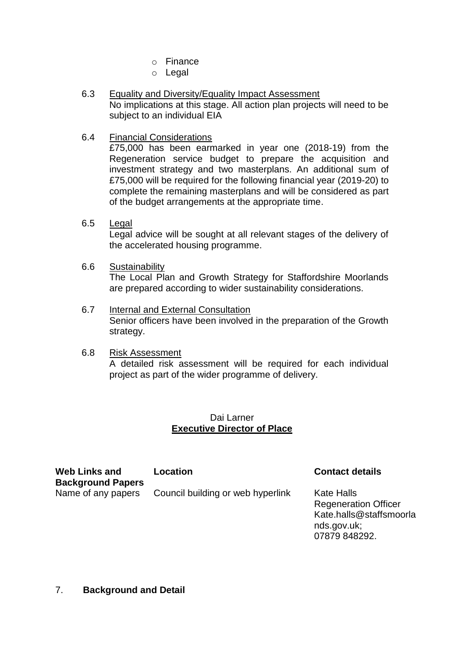- o Finance
- o Legal
- 6.3 Equality and Diversity/Equality Impact Assessment No implications at this stage. All action plan projects will need to be subject to an individual EIA
- 6.4 Financial Considerations

£75,000 has been earmarked in year one (2018-19) from the Regeneration service budget to prepare the acquisition and investment strategy and two masterplans. An additional sum of £75,000 will be required for the following financial year (2019-20) to complete the remaining masterplans and will be considered as part of the budget arrangements at the appropriate time.

- 6.5 Legal Legal advice will be sought at all relevant stages of the delivery of the accelerated housing programme.
- 6.6 Sustainability The Local Plan and Growth Strategy for Staffordshire Moorlands are prepared according to wider sustainability considerations.
- 6.7 Internal and External Consultation Senior officers have been involved in the preparation of the Growth strategy.
- 6.8 Risk Assessment A detailed risk assessment will be required for each individual project as part of the wider programme of delivery.

## Dai Larner **Executive Director of Place**

**Web Links and Background Papers**

Name of any papers Council building or web hyperlink Kate Halls

# **Location Contact details**

Regeneration Officer Kate.halls@staffsmoorla nds.gov.uk; 07879 848292.

### 7. **Background and Detail**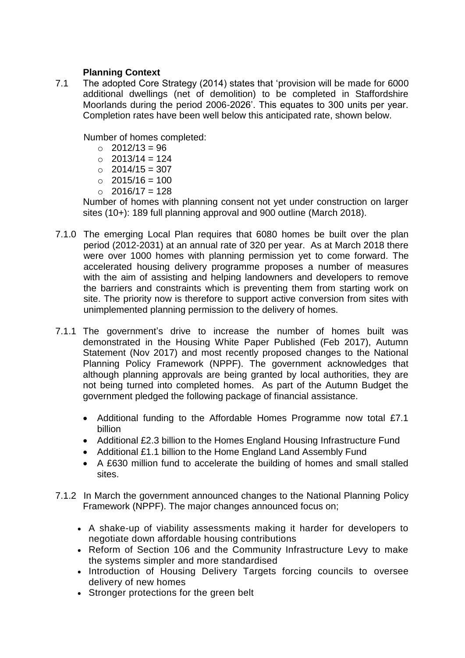## **Planning Context**

7.1 The adopted Core Strategy (2014) states that 'provision will be made for 6000 additional dwellings (net of demolition) to be completed in Staffordshire Moorlands during the period 2006-2026'. This equates to 300 units per year. Completion rates have been well below this anticipated rate, shown below.

Number of homes completed:

- $\degree$  2012/13 = 96
- $\circ$  2013/14 = 124
- $\degree$  2014/15 = 307
- $\degree$  2015/16 = 100
- $\circ$  2016/17 = 128

Number of homes with planning consent not yet under construction on larger sites (10+): 189 full planning approval and 900 outline (March 2018).

- 7.1.0 The emerging Local Plan requires that 6080 homes be built over the plan period (2012-2031) at an annual rate of 320 per year. As at March 2018 there were over 1000 homes with planning permission yet to come forward. The accelerated housing delivery programme proposes a number of measures with the aim of assisting and helping landowners and developers to remove the barriers and constraints which is preventing them from starting work on site. The priority now is therefore to support active conversion from sites with unimplemented planning permission to the delivery of homes.
- 7.1.1 The government's drive to increase the number of homes built was demonstrated in the Housing White Paper Published (Feb 2017), Autumn Statement (Nov 2017) and most recently proposed changes to the National Planning Policy Framework (NPPF). The government acknowledges that although planning approvals are being granted by local authorities, they are not being turned into completed homes. As part of the Autumn Budget the government pledged the following package of financial assistance.
	- Additional funding to the Affordable Homes Programme now total £7.1 billion
	- Additional £2.3 billion to the Homes England Housing Infrastructure Fund
	- Additional £1.1 billion to the Home England Land Assembly Fund
	- A £630 million fund to accelerate the building of homes and small stalled sites.
- 7.1.2 In March the government announced changes to the National Planning Policy Framework (NPPF). The major changes announced focus on;
	- A shake-up of viability assessments making it harder for developers to negotiate down affordable housing contributions
	- Reform of Section 106 and the Community Infrastructure Levy to make the systems simpler and more standardised
	- Introduction of Housing Delivery Targets forcing councils to oversee delivery of new homes
	- Stronger protections for the green belt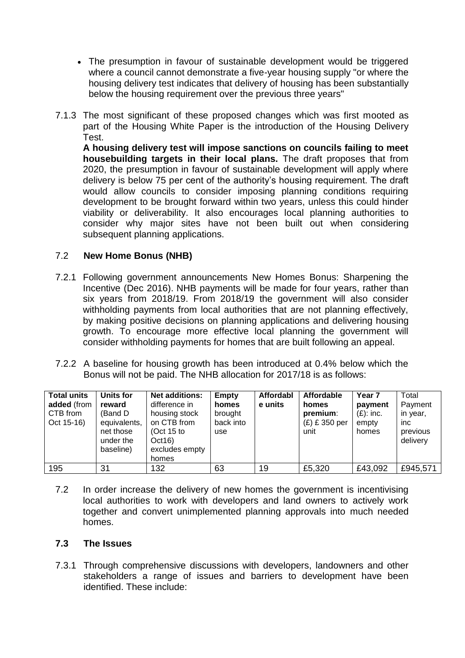- The presumption in favour of sustainable development would be triggered where a council cannot demonstrate a five-year housing supply "or where the housing delivery test indicates that delivery of housing has been substantially below the housing requirement over the previous three years"
- 7.1.3 The most significant of these proposed changes which was first mooted as part of the Housing White Paper is the introduction of the Housing Delivery Test.

**A housing delivery test will impose sanctions on councils failing to meet housebuilding targets in their local plans.** The draft proposes that from 2020, the presumption in favour of sustainable development will apply where delivery is below 75 per cent of the authority's housing requirement. The draft would allow councils to consider imposing planning conditions requiring development to be brought forward within two years, unless this could hinder viability or deliverability. It also encourages local planning authorities to consider why major sites have not been built out when considering subsequent planning applications.

## 7.2 **New Home Bonus (NHB)**

- 7.2.1 Following government announcements New Homes Bonus: Sharpening the Incentive (Dec 2016). NHB payments will be made for four years, rather than six years from 2018/19. From 2018/19 the government will also consider withholding payments from local authorities that are not planning effectively, by making positive decisions on planning applications and delivering housing growth. To encourage more effective local planning the government will consider withholding payments for homes that are built following an appeal.
- 7.2.2 A baseline for housing growth has been introduced at 0.4% below which the Bonus will not be paid. The NHB allocation for 2017/18 is as follows:

| <b>Total units</b> | Units for    | <b>Net additions:</b> | <b>Empty</b> | Affordabl | Affordable      | Year <sub>7</sub> | Total    |
|--------------------|--------------|-----------------------|--------------|-----------|-----------------|-------------------|----------|
| added (from        | reward       | difference in         | homes        | e units   | homes           | payment           | Payment  |
| CTB from           | (Band D)     | housing stock         | brought      |           | premium:        | $(E)$ : inc.      | in year, |
| Oct 15-16)         | equivalents, | on CTB from           | back into    |           | $(E)$ £ 350 per | empty             | inc.     |
|                    | net those    | (Oct $15$ to          | use          |           | unit            | homes             | previous |
|                    | under the    | Oct16)                |              |           |                 |                   | delivery |
|                    | baseline)    | excludes empty        |              |           |                 |                   |          |
|                    |              | homes                 |              |           |                 |                   |          |
| 195                | 31           | 132                   | 63           | 19        | £5,320          | £43,092           | £945,571 |

7.2 In order increase the delivery of new homes the government is incentivising local authorities to work with developers and land owners to actively work together and convert unimplemented planning approvals into much needed homes.

### **7.3 The Issues**

7.3.1 Through comprehensive discussions with developers, landowners and other stakeholders a range of issues and barriers to development have been identified. These include: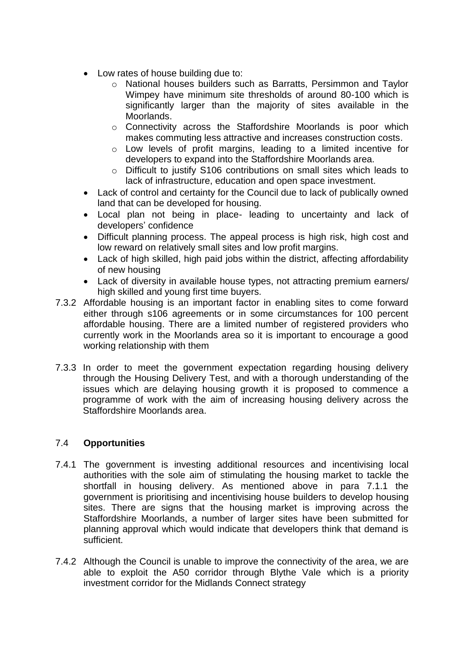- Low rates of house building due to:
	- o National houses builders such as Barratts, Persimmon and Taylor Wimpey have minimum site thresholds of around 80-100 which is significantly larger than the majority of sites available in the Moorlands.
	- o Connectivity across the Staffordshire Moorlands is poor which makes commuting less attractive and increases construction costs.
	- o Low levels of profit margins, leading to a limited incentive for developers to expand into the Staffordshire Moorlands area.
	- o Difficult to justify S106 contributions on small sites which leads to lack of infrastructure, education and open space investment.
- Lack of control and certainty for the Council due to lack of publically owned land that can be developed for housing.
- Local plan not being in place- leading to uncertainty and lack of developers' confidence
- Difficult planning process. The appeal process is high risk, high cost and low reward on relatively small sites and low profit margins.
- Lack of high skilled, high paid jobs within the district, affecting affordability of new housing
- Lack of diversity in available house types, not attracting premium earners/ high skilled and young first time buyers.
- 7.3.2 Affordable housing is an important factor in enabling sites to come forward either through s106 agreements or in some circumstances for 100 percent affordable housing. There are a limited number of registered providers who currently work in the Moorlands area so it is important to encourage a good working relationship with them
- 7.3.3 In order to meet the government expectation regarding housing delivery through the Housing Delivery Test, and with a thorough understanding of the issues which are delaying housing growth it is proposed to commence a programme of work with the aim of increasing housing delivery across the Staffordshire Moorlands area.

# 7.4 **Opportunities**

- 7.4.1 The government is investing additional resources and incentivising local authorities with the sole aim of stimulating the housing market to tackle the shortfall in housing delivery. As mentioned above in para 7.1.1 the government is prioritising and incentivising house builders to develop housing sites. There are signs that the housing market is improving across the Staffordshire Moorlands, a number of larger sites have been submitted for planning approval which would indicate that developers think that demand is sufficient.
- 7.4.2 Although the Council is unable to improve the connectivity of the area, we are able to exploit the A50 corridor through Blythe Vale which is a priority investment corridor for the Midlands Connect strategy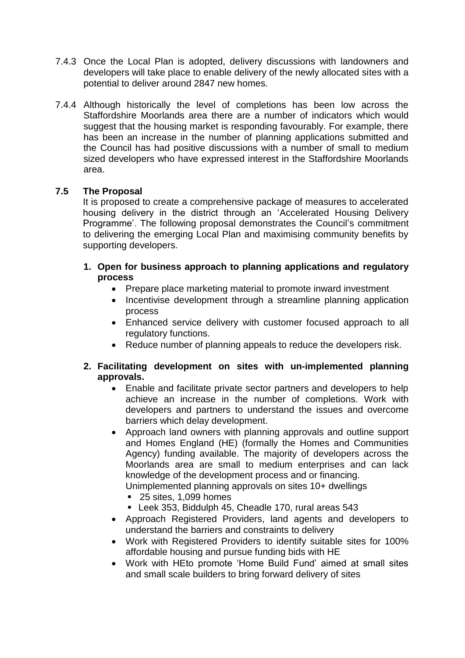- 7.4.3 Once the Local Plan is adopted, delivery discussions with landowners and developers will take place to enable delivery of the newly allocated sites with a potential to deliver around 2847 new homes.
- 7.4.4 Although historically the level of completions has been low across the Staffordshire Moorlands area there are a number of indicators which would suggest that the housing market is responding favourably. For example, there has been an increase in the number of planning applications submitted and the Council has had positive discussions with a number of small to medium sized developers who have expressed interest in the Staffordshire Moorlands area.

# **7.5 The Proposal**

It is proposed to create a comprehensive package of measures to accelerated housing delivery in the district through an 'Accelerated Housing Delivery Programme'. The following proposal demonstrates the Council's commitment to delivering the emerging Local Plan and maximising community benefits by supporting developers.

- **1. Open for business approach to planning applications and regulatory process**
	- Prepare place marketing material to promote inward investment
	- Incentivise development through a streamline planning application process
	- Enhanced service delivery with customer focused approach to all regulatory functions.
	- Reduce number of planning appeals to reduce the developers risk.

### **2. Facilitating development on sites with un-implemented planning approvals.**

- Enable and facilitate private sector partners and developers to help achieve an increase in the number of completions. Work with developers and partners to understand the issues and overcome barriers which delay development.
- Approach land owners with planning approvals and outline support and Homes England (HE) (formally the Homes and Communities Agency) funding available. The majority of developers across the Moorlands area are small to medium enterprises and can lack knowledge of the development process and or financing. Unimplemented planning approvals on sites 10+ dwellings
	- 25 sites, 1,099 homes
	- Leek 353, Biddulph 45, Cheadle 170, rural areas 543
- Approach Registered Providers, land agents and developers to understand the barriers and constraints to delivery
- Work with Registered Providers to identify suitable sites for 100% affordable housing and pursue funding bids with HE
- Work with HEto promote 'Home Build Fund' aimed at small sites and small scale builders to bring forward delivery of sites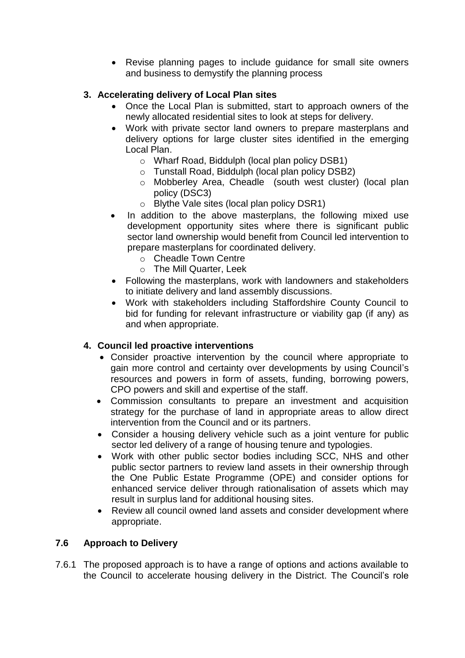• Revise planning pages to include guidance for small site owners and business to demystify the planning process

# **3. Accelerating delivery of Local Plan sites**

- Once the Local Plan is submitted, start to approach owners of the newly allocated residential sites to look at steps for delivery.
- Work with private sector land owners to prepare masterplans and delivery options for large cluster sites identified in the emerging Local Plan.
	- o Wharf Road, Biddulph (local plan policy DSB1)
	- o Tunstall Road, Biddulph (local plan policy DSB2)
	- o Mobberley Area, Cheadle (south west cluster) (local plan policy (DSC3)
	- o Blythe Vale sites (local plan policy DSR1)
- In addition to the above masterplans, the following mixed use development opportunity sites where there is significant public sector land ownership would benefit from Council led intervention to prepare masterplans for coordinated delivery.
	- o Cheadle Town Centre
	- o The Mill Quarter, Leek
- Following the masterplans, work with landowners and stakeholders to initiate delivery and land assembly discussions.
- Work with stakeholders including Staffordshire County Council to bid for funding for relevant infrastructure or viability gap (if any) as and when appropriate.

# **4. Council led proactive interventions**

- Consider proactive intervention by the council where appropriate to gain more control and certainty over developments by using Council's resources and powers in form of assets, funding, borrowing powers, CPO powers and skill and expertise of the staff.
- Commission consultants to prepare an investment and acquisition strategy for the purchase of land in appropriate areas to allow direct intervention from the Council and or its partners.
- Consider a housing delivery vehicle such as a joint venture for public sector led delivery of a range of housing tenure and typologies.
- Work with other public sector bodies including SCC, NHS and other public sector partners to review land assets in their ownership through the One Public Estate Programme (OPE) and consider options for enhanced service deliver through rationalisation of assets which may result in surplus land for additional housing sites.
- Review all council owned land assets and consider development where appropriate.

# **7.6 Approach to Delivery**

7.6.1 The proposed approach is to have a range of options and actions available to the Council to accelerate housing delivery in the District. The Council's role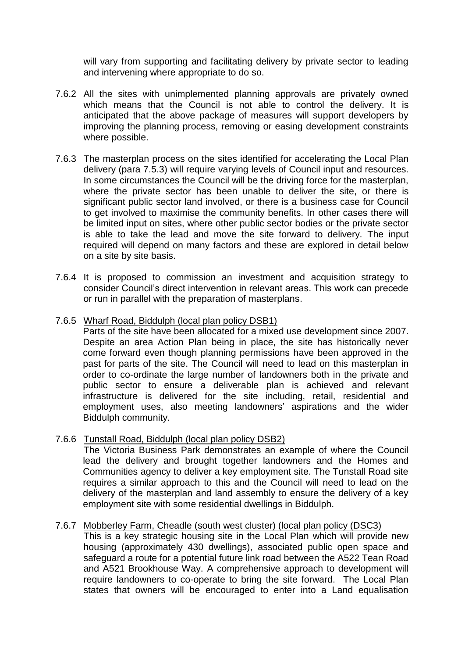will vary from supporting and facilitating delivery by private sector to leading and intervening where appropriate to do so.

- 7.6.2 All the sites with unimplemented planning approvals are privately owned which means that the Council is not able to control the delivery. It is anticipated that the above package of measures will support developers by improving the planning process, removing or easing development constraints where possible.
- 7.6.3 The masterplan process on the sites identified for accelerating the Local Plan delivery (para 7.5.3) will require varying levels of Council input and resources. In some circumstances the Council will be the driving force for the masterplan, where the private sector has been unable to deliver the site, or there is significant public sector land involved, or there is a business case for Council to get involved to maximise the community benefits. In other cases there will be limited input on sites, where other public sector bodies or the private sector is able to take the lead and move the site forward to delivery. The input required will depend on many factors and these are explored in detail below on a site by site basis.
- 7.6.4 It is proposed to commission an investment and acquisition strategy to consider Council's direct intervention in relevant areas. This work can precede or run in parallel with the preparation of masterplans.
- 7.6.5 Wharf Road, Biddulph (local plan policy DSB1)

Parts of the site have been allocated for a mixed use development since 2007. Despite an area Action Plan being in place, the site has historically never come forward even though planning permissions have been approved in the past for parts of the site. The Council will need to lead on this masterplan in order to co-ordinate the large number of landowners both in the private and public sector to ensure a deliverable plan is achieved and relevant infrastructure is delivered for the site including, retail, residential and employment uses, also meeting landowners' aspirations and the wider Biddulph community.

7.6.6 Tunstall Road, Biddulph (local plan policy DSB2)

The Victoria Business Park demonstrates an example of where the Council lead the delivery and brought together landowners and the Homes and Communities agency to deliver a key employment site. The Tunstall Road site requires a similar approach to this and the Council will need to lead on the delivery of the masterplan and land assembly to ensure the delivery of a key employment site with some residential dwellings in Biddulph.

### 7.6.7 Mobberley Farm, Cheadle (south west cluster) (local plan policy (DSC3)

This is a key strategic housing site in the Local Plan which will provide new housing (approximately 430 dwellings), associated public open space and safeguard a route for a potential future link road between the A522 Tean Road and A521 Brookhouse Way. A comprehensive approach to development will require landowners to co-operate to bring the site forward. The Local Plan states that owners will be encouraged to enter into a Land equalisation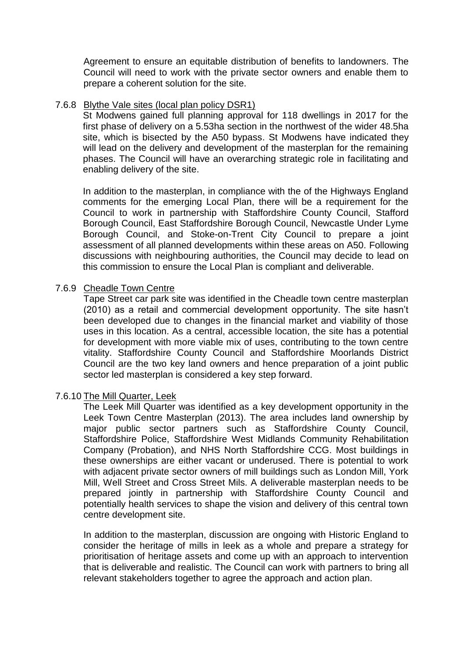Agreement to ensure an equitable distribution of benefits to landowners. The Council will need to work with the private sector owners and enable them to prepare a coherent solution for the site.

#### 7.6.8 Blythe Vale sites (local plan policy DSR1)

St Modwens gained full planning approval for 118 dwellings in 2017 for the first phase of delivery on a 5.53ha section in the northwest of the wider 48.5ha site, which is bisected by the A50 bypass. St Modwens have indicated they will lead on the delivery and development of the masterplan for the remaining phases. The Council will have an overarching strategic role in facilitating and enabling delivery of the site.

In addition to the masterplan, in compliance with the of the Highways England comments for the emerging Local Plan, there will be a requirement for the Council to work in partnership with Staffordshire County Council, Stafford Borough Council, East Staffordshire Borough Council, Newcastle Under Lyme Borough Council, and Stoke-on-Trent City Council to prepare a joint assessment of all planned developments within these areas on A50. Following discussions with neighbouring authorities, the Council may decide to lead on this commission to ensure the Local Plan is compliant and deliverable.

#### 7.6.9 Cheadle Town Centre

Tape Street car park site was identified in the Cheadle town centre masterplan (2010) as a retail and commercial development opportunity. The site hasn't been developed due to changes in the financial market and viability of those uses in this location. As a central, accessible location, the site has a potential for development with more viable mix of uses, contributing to the town centre vitality. Staffordshire County Council and Staffordshire Moorlands District Council are the two key land owners and hence preparation of a joint public sector led masterplan is considered a key step forward.

#### 7.6.10 The Mill Quarter, Leek

The Leek Mill Quarter was identified as a key development opportunity in the Leek Town Centre Masterplan (2013). The area includes land ownership by major public sector partners such as Staffordshire County Council, Staffordshire Police, Staffordshire West Midlands Community Rehabilitation Company (Probation), and NHS North Staffordshire CCG. Most buildings in these ownerships are either vacant or underused. There is potential to work with adjacent private sector owners of mill buildings such as London Mill, York Mill, Well Street and Cross Street Mils. A deliverable masterplan needs to be prepared jointly in partnership with Staffordshire County Council and potentially health services to shape the vision and delivery of this central town centre development site.

In addition to the masterplan, discussion are ongoing with Historic England to consider the heritage of mills in leek as a whole and prepare a strategy for prioritisation of heritage assets and come up with an approach to intervention that is deliverable and realistic. The Council can work with partners to bring all relevant stakeholders together to agree the approach and action plan.